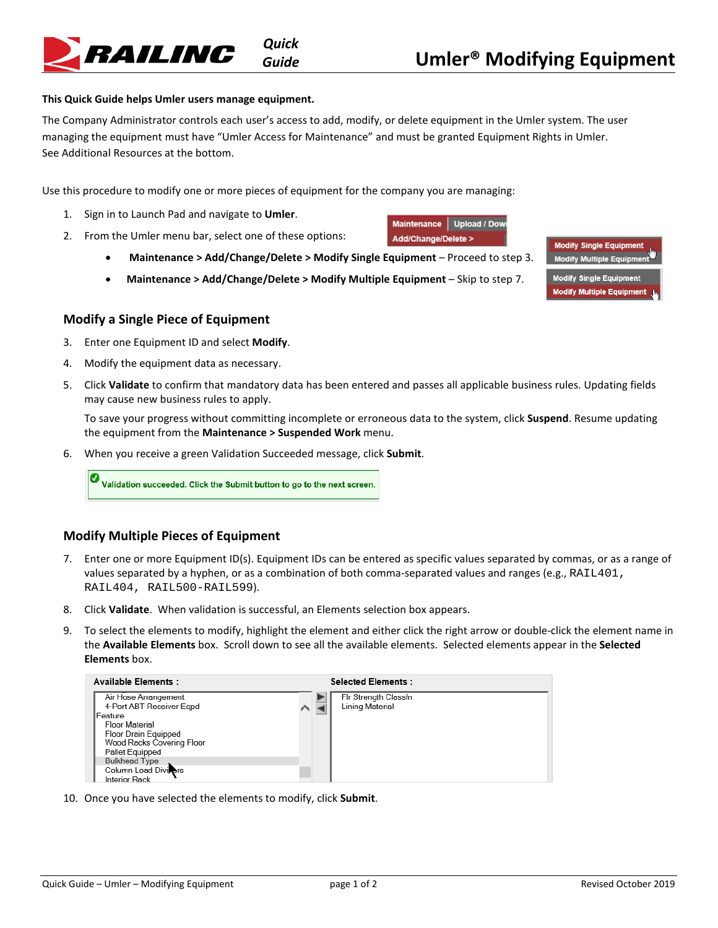

## **This Quick Guide helps Umler users manage equipment.**

The Company Administrator controls each user's access to add, modify, or delete equipment in the Umler system. The user managing the equipment must have "Umler Access for Maintenance" and must be granted Equipment Rights in Umler. See [Additional Resources](#page-1-0) at the bottom.

Use this procedure to modify one or more pieces of equipment for the company you are managing:

- 1. Sign in to Launch Pad and navigate to **Umler**.
- 2. From the Umler menu bar, select one of these options:
	- **Maintenance > Add/Change/Delete > Modify Single Equipment** Proceed to step 3.
	- **Maintenance > Add/Change/Delete > Modify Multiple Equipment** Skip to step 7.



## **Modify a Single Piece of Equipment**

- 3. Enter one Equipment ID and select **Modify**.
- 4. Modify the equipment data as necessary.
- 5. Click **Validate** to confirm that mandatory data has been entered and passes all applicable business rules. Updating fields may cause new business rules to apply.

To save your progress without committing incomplete or erroneous data to the system, click **Suspend**. Resume updating the equipment from the **Maintenance > Suspended Work** menu.

Maintenance Upload / Dow Add/Change/Delete >

6. When you receive a green Validation Succeeded message, click **Submit**.

Ø Validation succeeded. Click the Submit button to go to the next screen.

## **Modify Multiple Pieces of Equipment**

- 7. Enter one or more Equipment ID(s). Equipment IDs can be entered as specific values separated by commas, or as a range of values separated by a hyphen, or as a combination of both comma-separated values and ranges (e.g., RAIL401, RAIL404, RAIL500-RAIL599).
- 8. Click **Validate**. When validation is successful, an Elements selection box appears.
- 9. To select the elements to modify, highlight the element and either click the right arrow or double-click the element name in the **Available Elements** box. Scroll down to see all the available elements. Selected elements appear in the **Selected Elements** box.



10. Once you have selected the elements to modify, click **Submit**.